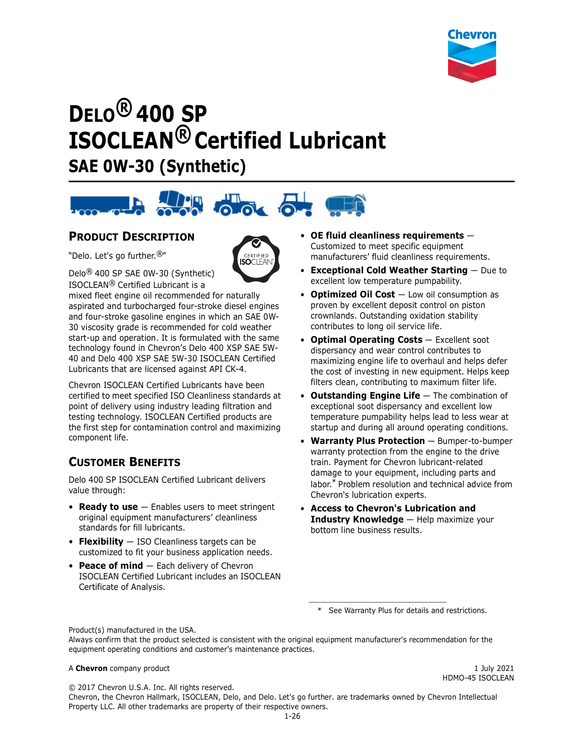

# **DELO® 400 SP ISOCLEAN® Certified Lubricant SAE 0W-30 (Synthetic)**



# **PRODUCT DESCRIPTION**

"Delo. Let's go further.®"



Delo® 400 SP SAE 0W-30 (Synthetic) ISOCLEAN® Certified Lubricant is a

mixed fleet engine oil recommended for naturally aspirated and turbocharged four-stroke diesel engines and four-stroke gasoline engines in which an SAE 0W-30 viscosity grade is recommended for cold weather start-up and operation. It is formulated with the same technology found in Chevron's Delo 400 XSP SAE 5W-40 and Delo 400 XSP SAE 5W-30 ISOCLEAN Certified Lubricants that are licensed against API CK-4.

Chevron ISOCLEAN Certified Lubricants have been certified to meet specified ISO Cleanliness standards at point of delivery using industry leading filtration and testing technology. ISOCLEAN Certified products are the first step for contamination control and maximizing component life.

# **CUSTOMER BENEFITS**

Delo 400 SP ISOCLEAN Certified Lubricant delivers value through:

- **Ready to use** Enables users to meet stringent original equipment manufacturers' cleanliness standards for fill lubricants.
- **Flexibility** ISO Cleanliness targets can be customized to fit your business application needs.
- **Peace of mind** Each delivery of Chevron ISOCLEAN Certified Lubricant includes an ISOCLEAN Certificate of Analysis.
- **OE fluid cleanliness requirements** Customized to meet specific equipment manufacturers' fluid cleanliness requirements.
- **Exceptional Cold Weather Starting** Due to excellent low temperature pumpability.
- **Optimized Oil Cost**  $-$  Low oil consumption as proven by excellent deposit control on piston crownlands. Outstanding oxidation stability contributes to long oil service life.
- **Optimal Operating Costs** Excellent soot dispersancy and wear control contributes to maximizing engine life to overhaul and helps defer the cost of investing in new equipment. Helps keep filters clean, contributing to maximum filter life.
- **Outstanding Engine Life**  The combination of exceptional soot dispersancy and excellent low temperature pumpability helps lead to less wear at startup and during all around operating conditions.
- **Warranty Plus Protection** Bumper-to-bumper warranty protection from the engine to the drive train. Payment for Chevron lubricant-related damage to your equipment, including parts and labor.\* Problem resolution and technical advice from Chevron's lubrication experts.
- **Access to Chevron's Lubrication and Industry Knowledge** — Help maximize your bottom line business results.

\* See Warranty Plus for details and restrictions.

Product(s) manufactured in the USA.

Always confirm that the product selected is consistent with the original equipment manufacturer's recommendation for the equipment operating conditions and customer's maintenance practices.

#### A **Chevron** company product 1 July 2021

HDMO-45 ISOCLEAN

© 2017 Chevron U.S.A. Inc. All rights reserved.

Chevron, the Chevron Hallmark, ISOCLEAN, Delo, and Delo. Let's go further. are trademarks owned by Chevron Intellectual Property LLC. All other trademarks are property of their respective owners.